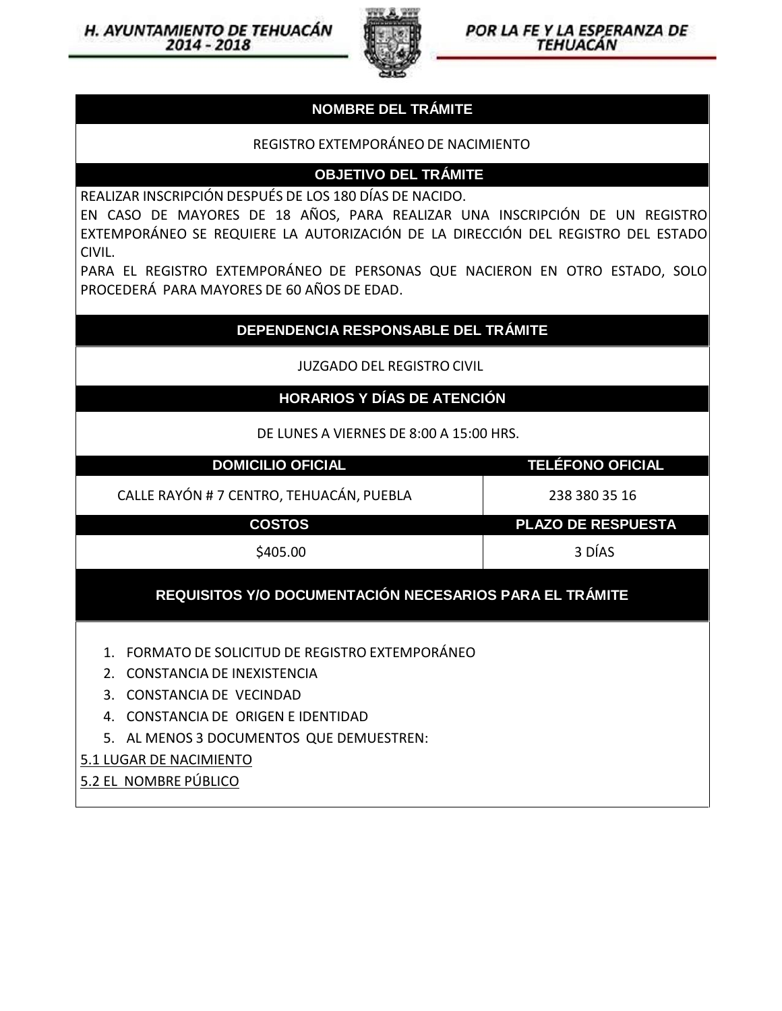

POR LA FE Y LA ESPERANZA DE *TEHUACÁN* 

### **NOMBRE DEL TRÁMITE**

# REGISTRO EXTEMPORÁNEODE NACIMIENTO **NOMBRE DEL TRÁMITE<br>EXTEMPORÁNEO DE NACIMIENTO<br>OBJETIVO DEL TRÁMITE<br>OS 180 DÍAS DE NACIDO.**

REALIZAR INSCRIPCIÓN DESPUÉS DE LOS 180 DÍAS DE NACIDO.

EN CASO DE MAYORES DE 18 AÑOS, PARA REALIZAR UNA INSCRIPCIÓN DE UN REGISTRO EXTEMPORÁNEO SE REQUIERE LA AUTORIZACIÓN DE LA DIRECCIÓN DEL REGISTRO DEL ESTADO CIVIL.

PARA EL REGISTRO EXTEMPORÁNEO DE PERSONAS QUE NACIERON EN OTRO ESTADO, SOLO PROCEDERÁ PARA MAYORES DE 60 AÑOS DE EDAD.

### **DEPENDENCIA RESPONSABLE DEL TRÁMITE**

JUZGADO DEL REGISTRO CIVIL

## **HORARIOS Y DÍAS DE ATENCIÓN**

DE LUNES A VIERNES DE 8:00 A 15:00 HRS.

| <b>DOMICILIO OFICIAL</b>                                                                                                                                                                                                            | <b>TELÉFONO OFICIAL</b>   |  |
|-------------------------------------------------------------------------------------------------------------------------------------------------------------------------------------------------------------------------------------|---------------------------|--|
| CALLE RAYÓN # 7 CENTRO, TEHUACÁN, PUEBLA                                                                                                                                                                                            | 238 380 35 16             |  |
| <b>COSTOS</b>                                                                                                                                                                                                                       | <b>PLAZO DE RESPUESTA</b> |  |
| \$405.00                                                                                                                                                                                                                            | 3 DÍAS                    |  |
| REQUISITOS Y/O DOCUMENTACIÓN NECESARIOS PARA EL TRÁMITE                                                                                                                                                                             |                           |  |
| FORMATO DE SOLICITUD DE REGISTRO EXTEMPORÁNEO<br>2. CONSTANCIA DE INFXISTENCIA<br>CONSTANCIA DE VECINDAD<br>$\mathbf{R}$<br>CONSTANCIA DE ORIGEN E IDENTIDAD<br>5. AL MENOS 3 DOCUMENTOS QUE DEMUESTREN:<br>5.1 LUGAR DE NACIMIENTO |                           |  |
|                                                                                                                                                                                                                                     |                           |  |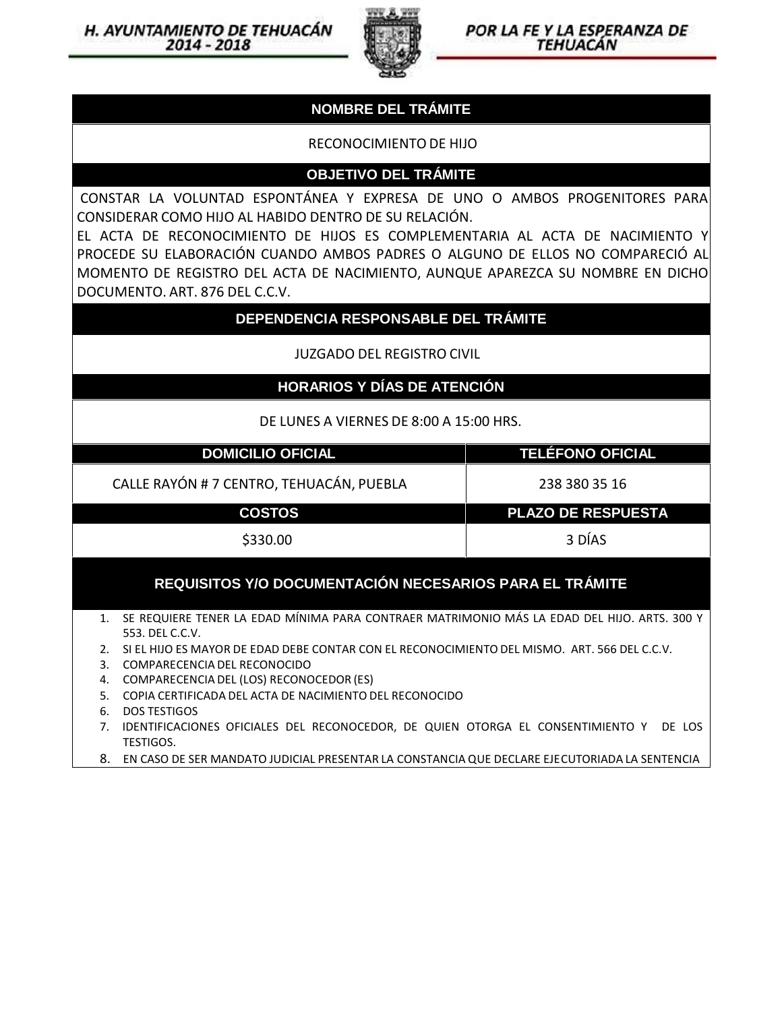

#### POR LA FE Y LA ESPERANZA DE **TEHUACÁN**

### **NOMBRE DEL TRÁMITE**

#### RECONOCIMIENTO DE HIJO

#### **OBJETIVO DEL TRÁMITE**

CONSTAR LA VOLUNTAD ESPONTÁNEA Y EXPRESA DE UNO O AMBOS PROGENITORES PARA CONSIDERAR COMO HIJO AL HABIDO DENTRO DESU RELACIÓN.

EL ACTA DE RECONOCIMIENTO DE HIJOS ES COMPLEMENTARIA AL ACTA DE NACIMIENTO Y PROCEDE SU ELABORACIÓN CUANDO AMBOS PADRES O ALGUNO DE ELLOS NO COMPARECIÓ AL MOMENTO DE REGISTRO DEL ACTA DE NACIMIENTO, AUNQUE APAREZCA SU NOMBRE EN DICHO DOCUMENTO. ART. 876 DEL C.C.V.

#### **DEPENDENCIA RESPONSABLE DEL TRÁMITE**

JUZGADO DELREGISTRO CIVIL

#### **HORARIOS Y DÍAS DE ATENCIÓN**

DE LUNES A VIERNES DE 8:00 A 15:00 HRS.

| <b>DOMICILIO OFICIAL</b>                                | <b>TELÉFONO OFICIAL</b>   |  |
|---------------------------------------------------------|---------------------------|--|
| CALLE RAYÓN # 7 CENTRO, TEHUACÁN, PUEBLA                | 238 380 35 16             |  |
| <b>COSTOS</b>                                           | <b>PLAZO DE RESPUESTA</b> |  |
| \$330.00                                                | 3 DÍAS                    |  |
| REQUISITOS Y/O DOCUMENTACIÓN NECESARIOS PARA EL TRÁMITE |                           |  |

- 1. SE REQUIERE TENER LA EDAD MÍNIMA PARA CONTRAER MATRIMONIO MÁS LA EDAD DEL HIJO. ARTS. 300 Y 553. DEL C.C.V.
- 2. SI EL HIJO ES MAYOR DE EDAD DEBE CONTAR CON EL RECONOCIMIENTO DEL MISMO. ART. 566 DEL C.C.V.
- 3. COMPARECENCIA DEL RECONOCIDO
- 4. COMPARECENCIA DEL (LOS) RECONOCEDOR (ES)
- 5. COPIA CERTIFICADA DEL ACTA DE NACIMIENTO DEL RECONOCIDO
- 6. DOS TESTIGOS
- 7. IDENTIFICACIONES OFICIALES DEL RECONOCEDOR, DE QUIEN OTORGA EL CONSENTIMIENTO Y DE LOS TESTIGOS.
- 8. EN CASO DE SER MANDATO JUDICIAL PRESENTAR LA CONSTANCIA QUE DECLARE EJECUTORIADA LA SENTENCIA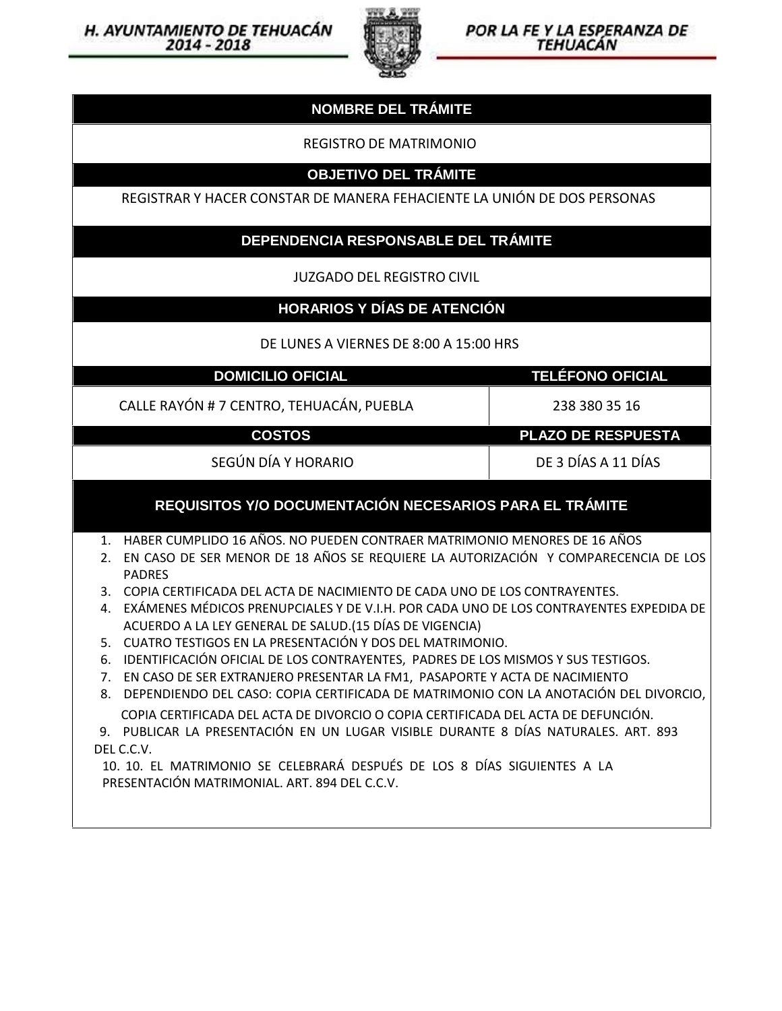



## **NOMBRE DEL TRÁMITE**

REGISTRO DE MATRIMONIO

#### **OBJETIVO DEL TRÁMITE**

REGISTRAR Y HACER CONSTAR DE MANERA FEHACIENTE LA UNIÓN DE DOS PERSONAS

#### **DEPENDENCIA RESPONSABLE DEL TRÁMITE**

JUZGADO DELREGISTRO CIVIL

#### **HORARIOS Y DÍAS DE ATENCIÓN**

DE LUNES A VIERNES DE 8:00 A 15:00 HRS

**DOMICILIO OFICIAL TELÉFONO OFICIAL**

CALLE RAYÓN # 7 CENTRO, TEHUACÁN, PUEBLA 238 380 35 16

**COSTOS PLAZO DE RESPUESTA**

SEGÚN DÍA Y HORARIO DE 3 DÍAS A 11 DÍAS

#### **REQUISITOS Y/O DOCUMENTACIÓN NECESARIOS PARA EL TRÁMITE**

1. HABER CUMPLIDO 16 AÑOS. NO PUEDEN CONTRAER MATRIMONIO MENORES DE 16 AÑOS

- 2. EN CASO DE SER MENOR DE 18 AÑOS SE REQUIERE LA AUTORIZACIÓN Y COMPARECENCIA DE LOS PADRES
- 3. COPIA CERTIFICADA DEL ACTA DE NACIMIENTO DE CADA UNO DELOS CONTRAYENTES.
- 4. EXÁMENES MÉDICOS PRENUPCIALES Y DE V.I.H. POR CADA UNO DELOS CONTRAYENTES EXPEDIDA DE ACUERDO A LA LEY GENERAL DE SALUD.(15 DÍAS DE VIGENCIA)
- 5. CUATRO TESTIGOS EN LA PRESENTACIÓN Y DOS DEL MATRIMONIO.
- 6. IDENTIFICACIÓN OFICIAL DE LOS CONTRAYENTES, PADRES DE LOS MISMOS Y SUS TESTIGOS.
- 7. EN CASO DESER EXTRANJERO PRESENTAR LA FM1, PASAPORTE Y ACTA DE NACIMIENTO
- 8. DEPENDIENDO DELCASO: COPIA CERTIFICADA DE MATRIMONIO CON LA ANOTACIÓN DEL DIVORCIO, COPIA CERTIFICADA DEL ACTA DE DIVORCIO O COPIA CERTIFICADA DEL ACTA DE DEFUNCIÓN.
- 9. PUBLICAR LA PRESENTACIÓN EN UN LUGAR VISIBLE DURANTE 8 DÍAS NATURALES. ART. 893 DEL C.C.V.

10. 10. EL MATRIMONIO SE CELEBRARÁ DESPUÉS DE LOS 8 DÍAS SIGUIENTES A LA PRESENTACIÓN MATRIMONIAL. ART. 894 DEL C.C.V.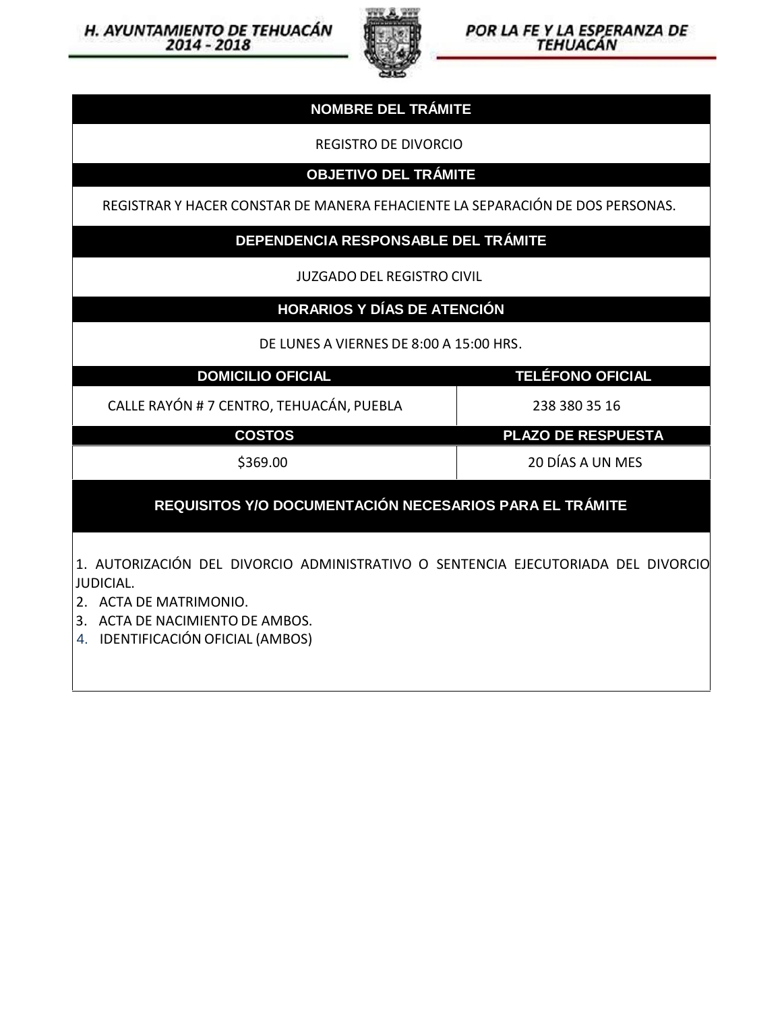



#### **NOMBRE DEL TRÁMITE**

REGISTRO DE DIVORCIO

**OBJETIVO DEL TRÁMITE**

REGISTRAR Y HACER CONSTAR DE MANERA FEHACIENTE LA SEPARACIÓN DE DOS PERSONAS.

## **DEPENDENCIA RESPONSABLE DEL TRÁMITE**

JUZGADO DEL REGISTRO CIVIL

#### **HORARIOS Y DÍAS DE ATENCIÓN**

DE LUNES A VIERNES DE 8:00 A 15:00 HRS.

**DOMICILIO OFICIAL TELÉFONO OFICIAL**

CALLE RAYÓN # 7 CENTRO, TEHUACÁN, PUEBLA 238 380 35 16

**COSTOS PLAZO DE RESPUESTA**

\$369.00 20 DÍAS A UN MES

# **REQUISITOS Y/O DOCUMENTACIÓN NECESARIOS PARA EL TRÁMITE**

1. AUTORIZACIÓN DEL DIVORCIO ADMINISTRATIVO O SENTENCIA EJECUTORIADA DEL DIVORCIO JUDICIAL.

2. ACTA DE MATRIMONIO.

3. ACTA DE NACIMIENTO DE AMBOS.

4. IDENTIFICACIÓN OFICIAL (AMBOS)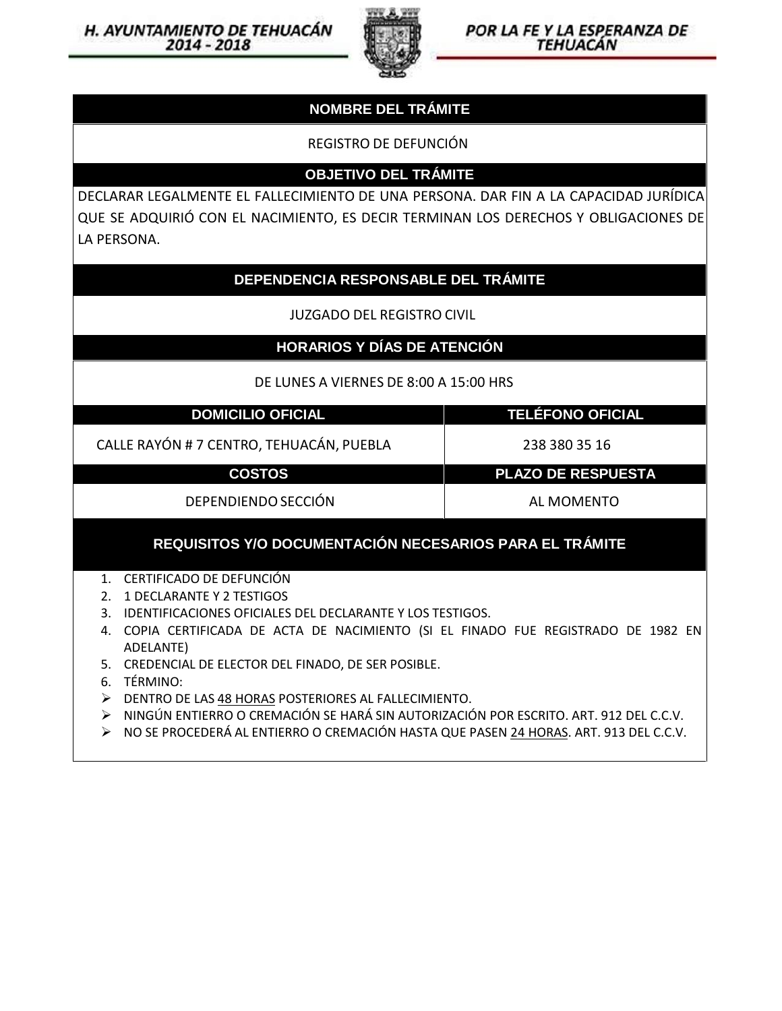

POR LA FE Y LA ESPERANZA DE **TEHUACÁN** 

## **NOMBRE DEL TRÁMITE**

REGISTRO DE DEFUNCIÓN

**OBJETIVO DEL TRÁMITE**

DECLARAR LEGALMENTE EL FALLECIMIENTO DE UNA PERSONA. DAR FIN A LA CAPACIDAD JURÍDICA QUE SE ADQUIRIÓ CON EL NACIMIENTO, ES DECIR TERMINAN LOS DERECHOS Y OBLIGACIONES DE LA PERSONA.

#### **DEPENDENCIA RESPONSABLE DEL TRÁMITE**

JUZGADO DEL REGISTRO CIVIL

**HORARIOS Y DÍAS DE ATENCIÓN**

DE LUNES A VIERNES DE 8:00 A 15:00 HRS

**DOMICILIO OFICIAL TELÉFONO OFICIAL**

CALLE RAYÓN # 7 CENTRO, TEHUACÁN, PUEBLA 238 380 35 16

**COSTOS PLAZO DE RESPUESTA**

DEPENDIENDOSECCIÓN AL MOMENTO

#### **REQUISITOS Y/O DOCUMENTACIÓN NECESARIOS PARA EL TRÁMITE**

1. CERTIFICADO DE DEFUNCIÓN

2. 1 DECLARANTE Y 2 TESTIGOS

- 3. IDENTIFICACIONES OFICIALES DEL DECLARANTE Y LOS TESTIGOS.
- 4. COPIA CERTIFICADA DE ACTA DE NACIMIENTO (SI EL FINADO FUE REGISTRADO DE 1982 EN ADELANTE)
- 5. CREDENCIAL DE ELECTOR DEL FINADO, DE SER POSIBLE.
- 6. TÉRMINO:
- DENTRO DE LAS 48 HORAS POSTERIORES AL FALLECIMIENTO.
- NINGÚN ENTIERRO O CREMACIÓN SE HARÁ SIN AUTORIZACIÓN POR ESCRITO. ART. 912 DEL C.C.V.
- NO SE PROCEDERÁ AL ENTIERRO O CREMACIÓN HASTA QUE PASEN 24 HORAS. ART. 913 DEL C.C.V.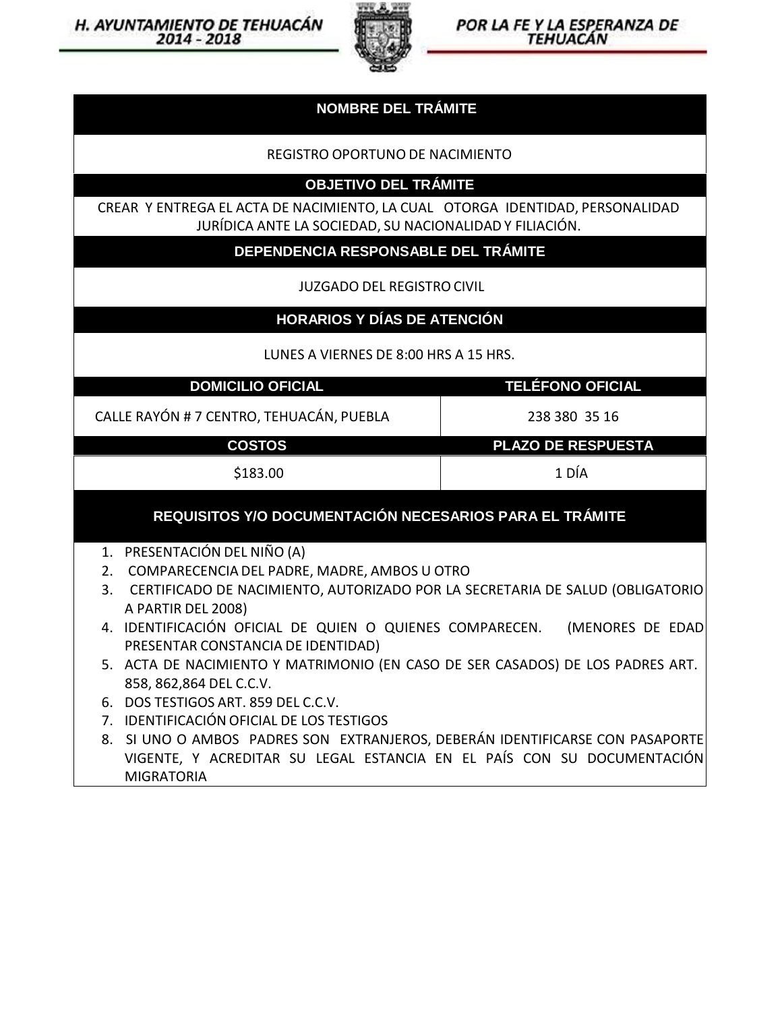

POR LA FE Y LA ESPERANZA DE TEHUACÁN

### **NOMBRE DEL TRÁMITE**

REGISTRO OPORTUNO DE NACIMIENTO

**OBJETIVO DEL TRÁMITE**

CREAR Y ENTREGA EL ACTA DE NACIMIENTO, LA CUAL OTORGA IDENTIDAD, PERSONALIDAD JURÍDICA ANTE LA SOCIEDAD, SU NACIONALIDAD Y FILIACIÓN.

**DEPENDENCIA RESPONSABLE DEL TRÁMITE**

JUZGADO DEL REGISTRO CIVIL

#### **HORARIOS Y DÍAS DE ATENCIÓN**

LUNES A VIERNES DE 8:00 HRS A 15 HRS.

| <b>DOMICILIO OFICIAL</b> |  |
|--------------------------|--|
|                          |  |
|                          |  |

CALLE RAYÓN # 7 CENTRO, TEHUACÁN, PUEBLA 238 380 35 16

**DOMICILIO OFICIAL TELÉFONO OFICIAL**

**COSTOS PLAZO DE RESPUESTA**

\$183.00 1 DÍA

#### **REQUISITOS Y/O DOCUMENTACIÓN NECESARIOS PARA EL TRÁMITE**

- 1. PRESENTACIÓN DEL NIÑO (A)
- 2. COMPARECENCIA DEL PADRE, MADRE, AMBOS U OTRO
- 3. CERTIFICADO DE NACIMIENTO, AUTORIZADO POR LA SECRETARIA DE SALUD (OBLIGATORIO A PARTIR DEL 2008)
- 4. IDENTIFICACIÓN OFICIAL DE QUIEN O QUIENES COMPARECEN. (MENORES DE EDAD PRESENTAR CONSTANCIA DE IDENTIDAD)
- 5. ACTA DE NACIMIENTO Y MATRIMONIO (EN CASO DE SER CASADOS) DE LOS PADRES ART. 858, 862,864 DEL C.C.V.
- 6. DOS TESTIGOS ART. 859 DEL C.C.V.
- 7. IDENTIFICACIÓN OFICIAL DE LOS TESTIGOS
- 8. SI UNO O AMBOS PADRES SON EXTRANJEROS, DEBERÁN IDENTIFICARSE CON PASAPORTE VIGENTE, Y ACREDITAR SU LEGAL ESTANCIA EN EL PAÍS CON SU DOCUMENTACIÓN MIGRATORIA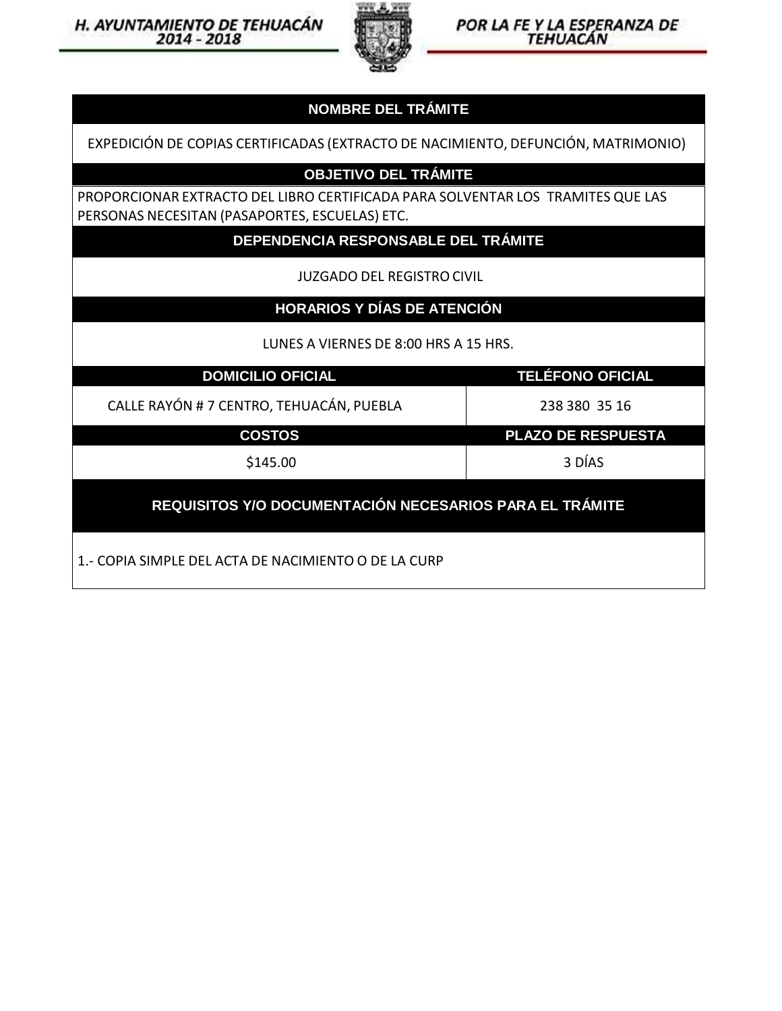

POR LA FE Y LA ESPERANZA DE TEHUACÁN

## **NOMBRE DEL TRÁMITE**

EXPEDICIÓN DE COPIAS CERTIFICADAS (EXTRACTO DENACIMIENTO, DEFUNCIÓN, MATRIMONIO)

# **OBJETIVO DEL TRÁMITE**

PROPORCIONAR EXTRACTO DEL LIBRO CERTIFICADA PARA SOLVENTAR LOS TRAMITES QUE LAS PERSONAS NECESITAN (PASAPORTES, ESCUELAS) ETC.

**DEPENDENCIA RESPONSABLE DEL TRÁMITE**

JUZGADO DEL REGISTRO CIVIL

# **HORARIOS Y DÍAS DE ATENCIÓN**

LUNES A VIERNES DE 8:00 HRS A 15 HRS.

**DOMICILIO OFICIAL TELÉFONO OFICIAL**

CALLE RAYÓN # 7 CENTRO, TEHUACÁN, PUEBLA 238 380 35 16

**COSTOS PLAZO DE RESPUESTA**

\$145.00 3 DÍAS

**REQUISITOS Y/O DOCUMENTACIÓN NECESARIOS PARA EL TRÁMITE**

1.- COPIA SIMPLE DEL ACTA DE NACIMIENTO O DELA CURP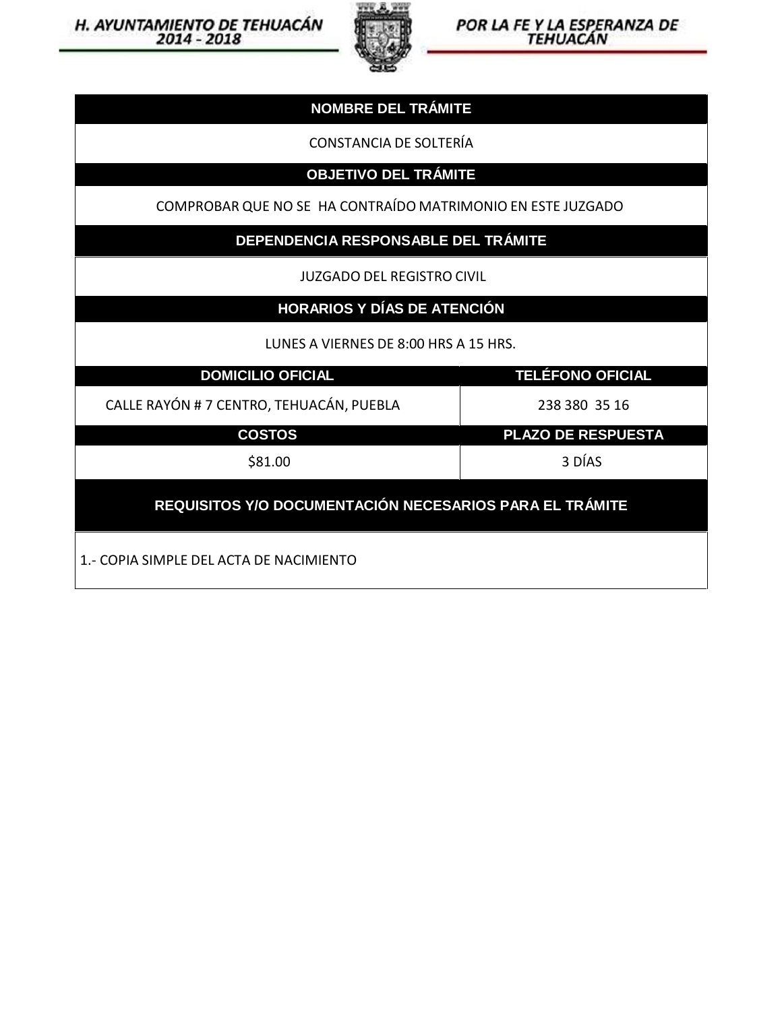H. AYUNTAMIENTO DE TEHUACÁN



POR LA FE Y LA ESPERANZA DE

| <b>NOMBRE DEL TRÁMITE</b>                                   |                         |  |
|-------------------------------------------------------------|-------------------------|--|
| <b>CONSTANCIA DE SOLTERÍA</b>                               |                         |  |
| <b>OBJETIVO DEL TRÁMITE</b>                                 |                         |  |
| COMPROBAR QUE NO SE HA CONTRAÍDO MATRIMONIO EN ESTE JUZGADO |                         |  |
| DEPENDENCIA RESPONSABLE DEL TRÁMITE                         |                         |  |
| <b>JUZGADO DEL REGISTRO CIVIL</b>                           |                         |  |
| <b>HORARIOS Y DÍAS DE ATENCIÓN</b>                          |                         |  |
| LUNES A VIERNES DE 8:00 HRS A 15 HRS.                       |                         |  |
| <b>DOMICILIO OFICIAL</b>                                    | <b>TELÉFONO OFICIAL</b> |  |
| CALLE RAYÓN # 7 CENTRO, TEHUACÁN, PUEBLA                    | 238 380 35 16           |  |
| <b>COSTOS</b>                                               | PLAZO DE RESPUESTA      |  |
| \$81.00                                                     | 3 DÍAS                  |  |
| REQUISITOS Y/O DOCUMENTACIÓN NECESARIOS PARA EL TRÁMITE     |                         |  |
| 1.- COPIA SIMPLE DEL ACTA DE NACIMIENTO                     |                         |  |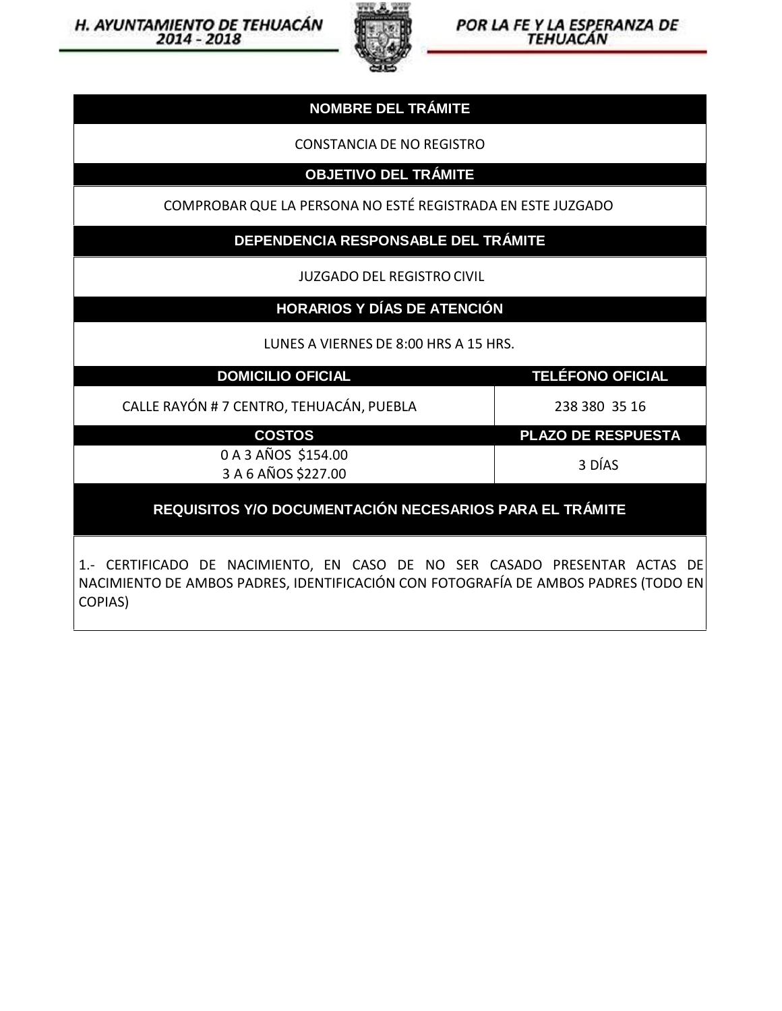

POR LA FE Y LA ESPERANZA DE TEHUACÁN

## **NOMBRE DEL TRÁMITE**

CONSTANCIA DE NO REGISTRO

**OBJETIVO DEL TRÁMITE**

COMPROBAR QUE LA PERSONA NO ESTÉ REGISTRADA EN ESTE JUZGADO

**DEPENDENCIA RESPONSABLE DEL TRÁMITE**

JUZGADO DEL REGISTRO CIVIL

**HORARIOS Y DÍAS DE ATENCIÓN**

LUNES A VIERNES DE 8:00 HRS A 15 HRS.

**DOMICILIO OFICIAL TELÉFONO OFICIAL**

CALLE RAYÓN # 7 CENTRO, TEHUACÁN, PUEBLA 238 380 35 16

**COSTOS PLAZO DE RESPUESTA**

0 A 3 AÑOS \$154.00 3 A 6 AÑOS \$227.00

3 DÍAS

**REQUISITOS Y/O DOCUMENTACIÓN NECESARIOS PARA EL TRÁMITE**

1.- CERTIFICADO DE NACIMIENTO, EN CASO DE NO SER CASADO PRESENTAR ACTAS DE NACIMIENTO DEAMBOS PADRES, IDENTIFICACIÓN CON FOTOGRAFÍA DE AMBOS PADRES (TODO EN COPIAS)